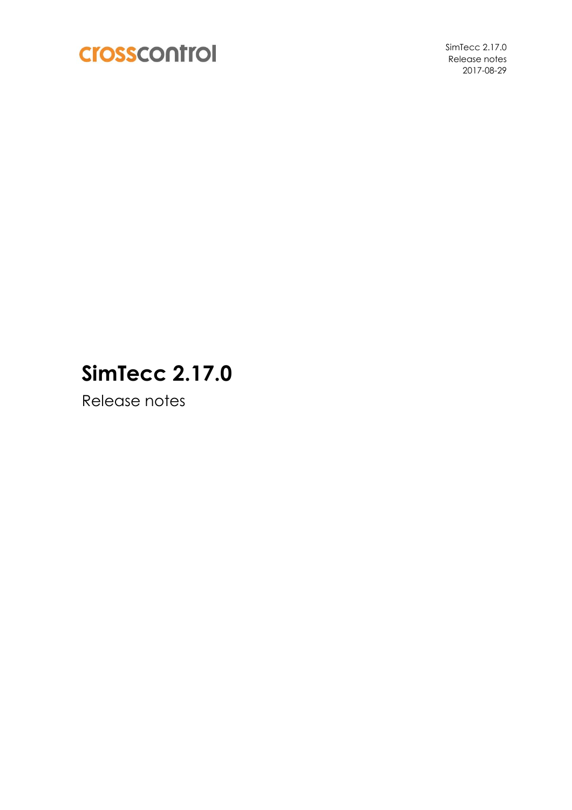

SimTecc 2.17.0 Release notes 2017-08-29

# **SimTecc 2.17.0**

Release notes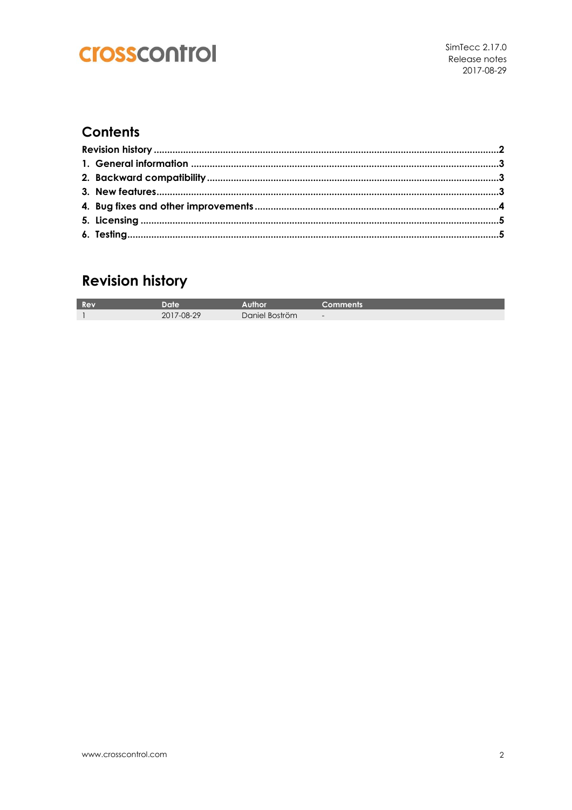#### **Contents**

### **Revision history**

| <b>TITEL</b> | Date            |                | ıments |
|--------------|-----------------|----------------|--------|
|              | $7-08-29$<br>ŽŪ | Daniel Boström | $-$    |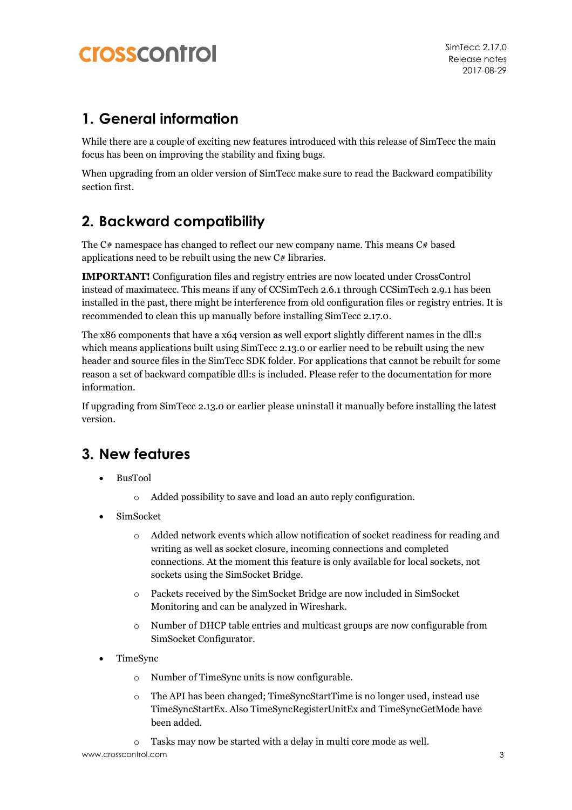#### **1. General information**

While there are a couple of exciting new features introduced with this release of SimTecc the main focus has been on improving the stability and fixing bugs.

When upgrading from an older version of SimTecc make sure to read the [Backward compatibility](#page-2-0) section first.

### <span id="page-2-0"></span>**2. Backward compatibility**

The  $C#$  namespace has changed to reflect our new company name. This means  $C#$  based applications need to be rebuilt using the new C# libraries.

**IMPORTANT!** Configuration files and registry entries are now located under CrossControl instead of maximatecc. This means if any of CCSimTech 2.6.1 through CCSimTech 2.9.1 has been installed in the past, there might be interference from old configuration files or registry entries. It is recommended to clean this up manually before installing SimTecc 2.17.0.

The x86 components that have a x64 version as well export slightly different names in the dll:s which means applications built using SimTecc 2.13.0 or earlier need to be rebuilt using the new header and source files in the SimTecc SDK folder. For applications that cannot be rebuilt for some reason a set of backward compatible dll:s is included. Please refer to the documentation for more information.

If upgrading from SimTecc 2.13.0 or earlier please uninstall it manually before installing the latest version.

### **3. New features**

- BusTool
	- o Added possibility to save and load an auto reply configuration.
- SimSocket
	- o Added network events which allow notification of socket readiness for reading and writing as well as socket closure, incoming connections and completed connections. At the moment this feature is only available for local sockets, not sockets using the SimSocket Bridge.
	- o Packets received by the SimSocket Bridge are now included in SimSocket Monitoring and can be analyzed in Wireshark.
	- o Number of DHCP table entries and multicast groups are now configurable from SimSocket Configurator.
- TimeSync
	- o Number of TimeSync units is now configurable.
	- o The API has been changed; TimeSyncStartTime is no longer used, instead use TimeSyncStartEx. Also TimeSyncRegisterUnitEx and TimeSyncGetMode have been added.
	- o Tasks may now be started with a delay in multi core mode as well.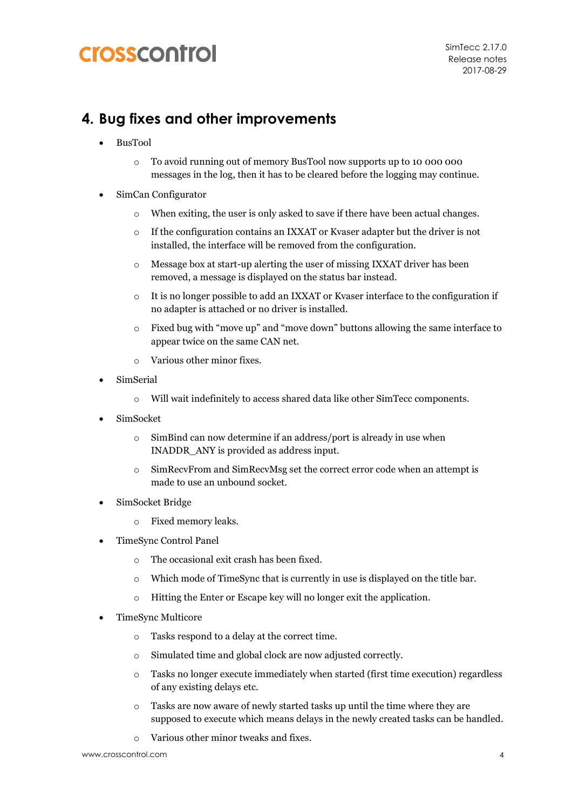#### **4. Bug fixes and other improvements**

- BusTool
	- o To avoid running out of memory BusTool now supports up to 10 000 000 messages in the log, then it has to be cleared before the logging may continue.
- SimCan Configurator
	- o When exiting, the user is only asked to save if there have been actual changes.
	- $\circ$  If the configuration contains an IXXAT or Kvaser adapter but the driver is not installed, the interface will be removed from the configuration.
	- $\circ$  Message box at start-up alerting the user of missing IXXAT driver has been removed, a message is displayed on the status bar instead.
	- o It is no longer possible to add an IXXAT or Kvaser interface to the configuration if no adapter is attached or no driver is installed.
	- o Fixed bug with "move up" and "move down" buttons allowing the same interface to appear twice on the same CAN net.
	- o Various other minor fixes.
- SimSerial
	- o Will wait indefinitely to access shared data like other SimTecc components.
- SimSocket
	- o SimBind can now determine if an address/port is already in use when INADDR\_ANY is provided as address input.
	- o SimRecvFrom and SimRecvMsg set the correct error code when an attempt is made to use an unbound socket.
- SimSocket Bridge
	- o Fixed memory leaks.
- TimeSync Control Panel
	- o The occasional exit crash has been fixed.
	- o Which mode of TimeSync that is currently in use is displayed on the title bar.
	- o Hitting the Enter or Escape key will no longer exit the application.
- TimeSync Multicore
	- o Tasks respond to a delay at the correct time.
	- o Simulated time and global clock are now adjusted correctly.
	- o Tasks no longer execute immediately when started (first time execution) regardless of any existing delays etc.
	- o Tasks are now aware of newly started tasks up until the time where they are supposed to execute which means delays in the newly created tasks can be handled.
	- o Various other minor tweaks and fixes.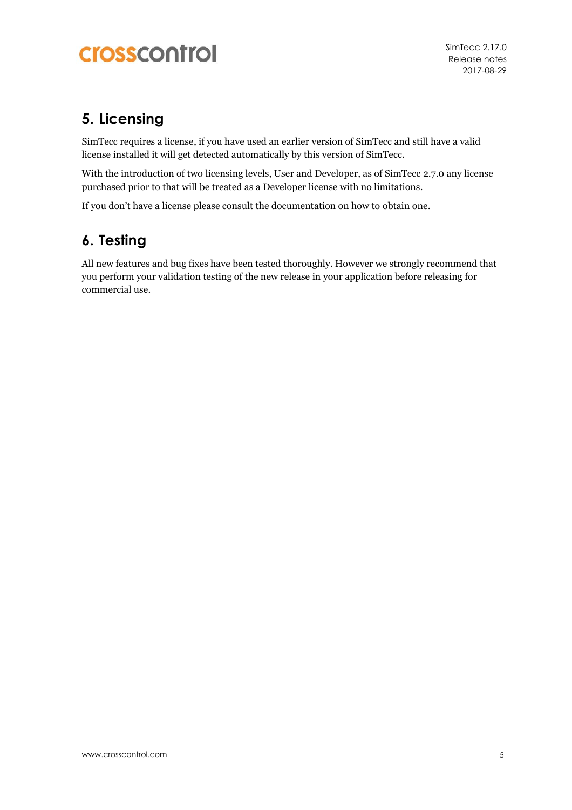SimTecc 2.17.0 Release notes 2017-08-29

#### **5. Licensing**

SimTecc requires a license, if you have used an earlier version of SimTecc and still have a valid license installed it will get detected automatically by this version of SimTecc.

With the introduction of two licensing levels, User and Developer, as of SimTecc 2.7.0 any license purchased prior to that will be treated as a Developer license with no limitations.

If you don't have a license please consult the documentation on how to obtain one.

#### **6. Testing**

All new features and bug fixes have been tested thoroughly. However we strongly recommend that you perform your validation testing of the new release in your application before releasing for commercial use.